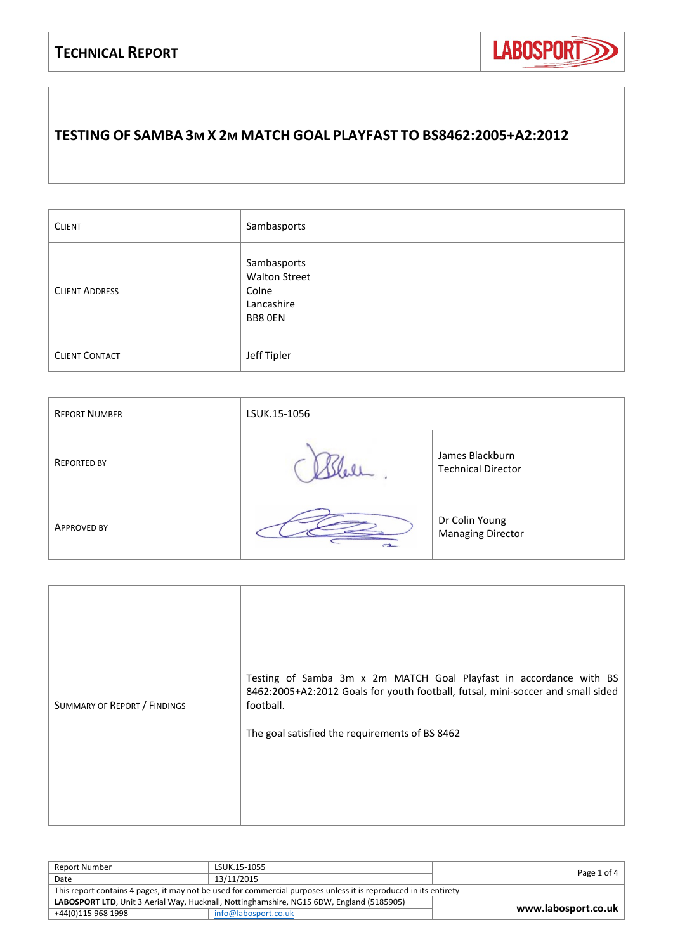

### **TESTING OF SAMBA 3M X 2M MATCH GOAL PLAYFAST TO BS8462:2005+A2:2012**

| <b>CLIENT</b>         | Sambasports                                                           |
|-----------------------|-----------------------------------------------------------------------|
| <b>CLIENT ADDRESS</b> | Sambasports<br><b>Walton Street</b><br>Colne<br>Lancashire<br>BB8 OEN |
| <b>CLIENT CONTACT</b> | Jeff Tipler                                                           |

| <b>REPORT NUMBER</b> | LSUK.15-1056 |                                              |
|----------------------|--------------|----------------------------------------------|
| <b>REPORTED BY</b>   |              | James Blackburn<br><b>Technical Director</b> |
| <b>APPROVED BY</b>   | $-2$         | Dr Colin Young<br><b>Managing Director</b>   |

| SUMMARY OF REPORT / FINDINGS | Testing of Samba 3m x 2m MATCH Goal Playfast in accordance with BS<br>8462:2005+A2:2012 Goals for youth football, futsal, mini-soccer and small sided<br>football.<br>The goal satisfied the requirements of BS 8462 |
|------------------------------|----------------------------------------------------------------------------------------------------------------------------------------------------------------------------------------------------------------------|
|------------------------------|----------------------------------------------------------------------------------------------------------------------------------------------------------------------------------------------------------------------|

| Report Number                                                                            | LSUK.15-1055                                                                                                     |                     |
|------------------------------------------------------------------------------------------|------------------------------------------------------------------------------------------------------------------|---------------------|
| Date                                                                                     | 13/11/2015                                                                                                       | Page 1 of 4         |
|                                                                                          | This report contains 4 pages, it may not be used for commercial purposes unless it is reproduced in its entirety |                     |
| LABOSPORT LTD, Unit 3 Aerial Way, Hucknall, Nottinghamshire, NG15 6DW, England (5185905) |                                                                                                                  |                     |
| +44(0)115 968 1998                                                                       | info@labosport.co.uk                                                                                             | www.labosport.co.uk |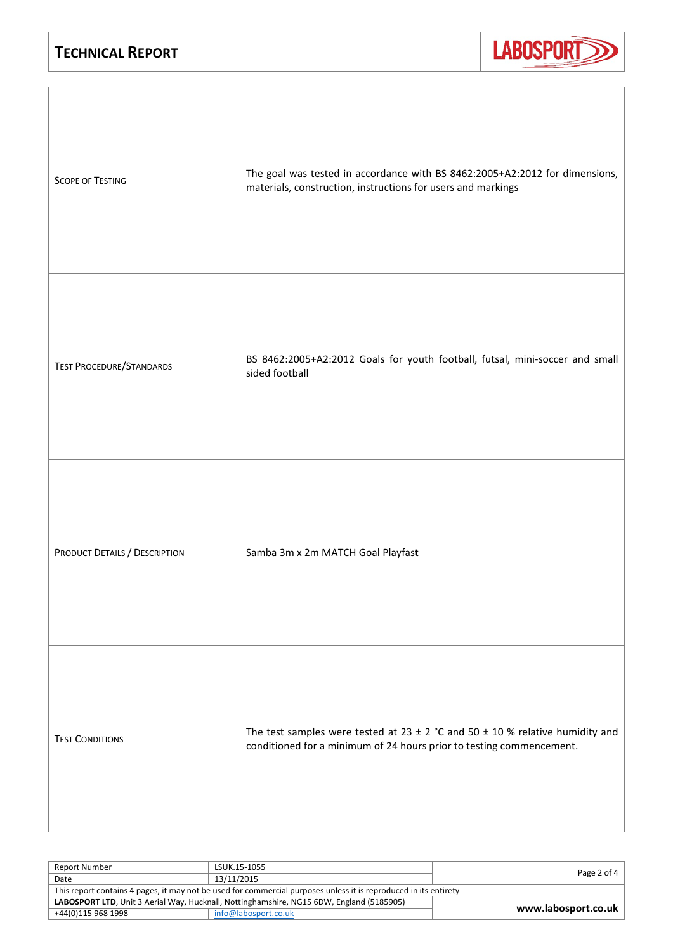

| <b>SCOPE OF TESTING</b>         | The goal was tested in accordance with BS 8462:2005+A2:2012 for dimensions,<br>materials, construction, instructions for users and markings                   |
|---------------------------------|---------------------------------------------------------------------------------------------------------------------------------------------------------------|
| <b>TEST PROCEDURE/STANDARDS</b> | BS 8462:2005+A2:2012 Goals for youth football, futsal, mini-soccer and small<br>sided football                                                                |
| PRODUCT DETAILS / DESCRIPTION   | Samba 3m x 2m MATCH Goal Playfast                                                                                                                             |
| <b>TEST CONDITIONS</b>          | The test samples were tested at 23 $\pm$ 2 °C and 50 $\pm$ 10 % relative humidity and<br>conditioned for a minimum of 24 hours prior to testing commencement. |

| <b>Report Number</b>                                                                     | LSUK.15-1055                                                                                                     |                     |
|------------------------------------------------------------------------------------------|------------------------------------------------------------------------------------------------------------------|---------------------|
| Date                                                                                     | 13/11/2015                                                                                                       | Page 2 of 4         |
|                                                                                          | This report contains 4 pages, it may not be used for commercial purposes unless it is reproduced in its entirety |                     |
| LABOSPORT LTD, Unit 3 Aerial Way, Hucknall, Nottinghamshire, NG15 6DW, England (5185905) |                                                                                                                  |                     |
| +44(0)115 968 1998                                                                       | info@labosport.co.uk                                                                                             | www.labosport.co.uk |
|                                                                                          |                                                                                                                  |                     |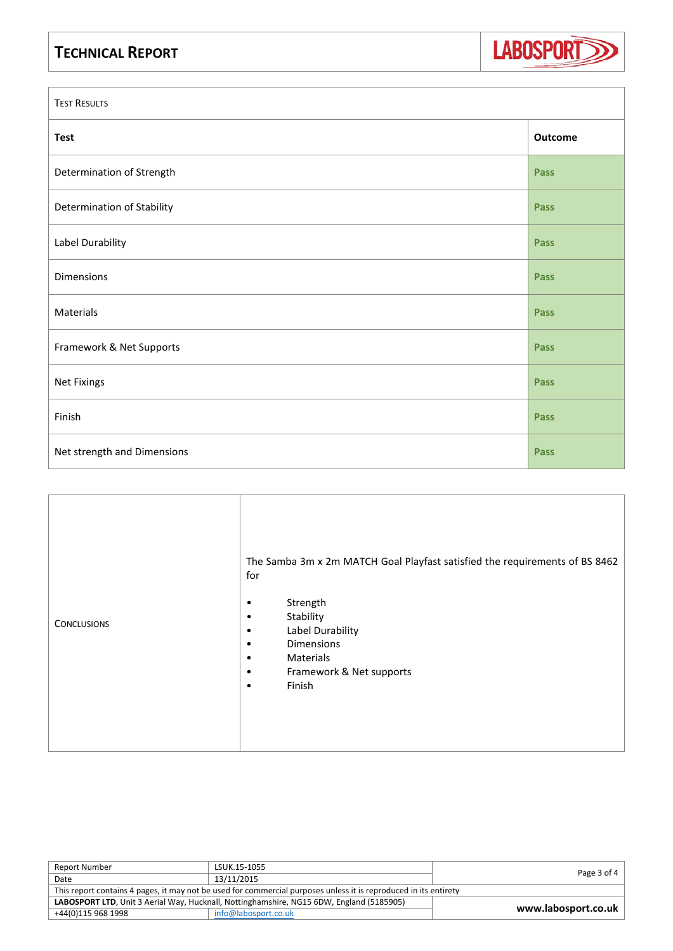

| <b>TEST RESULTS</b>         |             |  |
|-----------------------------|-------------|--|
| <b>Test</b>                 | Outcome     |  |
| Determination of Strength   | <b>Pass</b> |  |
| Determination of Stability  | Pass        |  |
| Label Durability            | Pass        |  |
| Dimensions                  | Pass        |  |
| Materials                   | Pass        |  |
| Framework & Net Supports    | Pass        |  |
| Net Fixings                 | Pass        |  |
| Finish                      | Pass        |  |
| Net strength and Dimensions | <b>Pass</b> |  |

| <b>CONCLUSIONS</b> | The Samba 3m x 2m MATCH Goal Playfast satisfied the requirements of BS 8462<br>for<br>Strength<br>٠<br>Stability<br>Label Durability<br>٠<br><b>Dimensions</b><br>٠<br>Materials<br>٠<br>Framework & Net supports<br>٠<br>Finish<br>٠ |
|--------------------|---------------------------------------------------------------------------------------------------------------------------------------------------------------------------------------------------------------------------------------|
|--------------------|---------------------------------------------------------------------------------------------------------------------------------------------------------------------------------------------------------------------------------------|

| <b>Report Number</b>                                                                     | LSUK.15-1055                                                                                                     |                     |
|------------------------------------------------------------------------------------------|------------------------------------------------------------------------------------------------------------------|---------------------|
| Date                                                                                     | 13/11/2015                                                                                                       | Page 3 of 4         |
|                                                                                          | This report contains 4 pages, it may not be used for commercial purposes unless it is reproduced in its entirety |                     |
| LABOSPORT LTD, Unit 3 Aerial Way, Hucknall, Nottinghamshire, NG15 6DW, England (5185905) |                                                                                                                  |                     |
| +44(0)115 968 1998                                                                       | info@labosport.co.uk                                                                                             | www.labosport.co.uk |